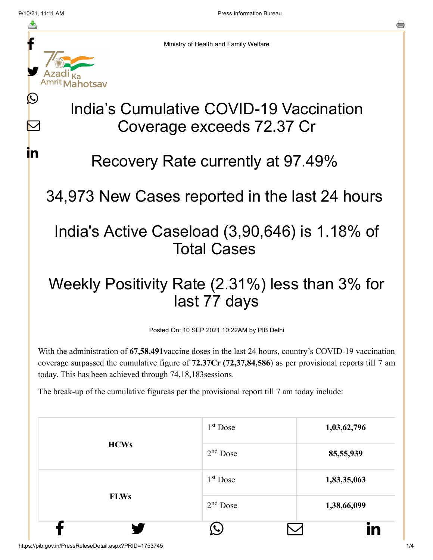M

**i**n



Ministry of Health and Family Welfare

# India's Cumulative COVID-19 Vaccination Coverage exceeds 72.37 Cr

#### Recovery Rate currently at 97.49%

34,973 New Cases reported in the last 24 hours

### India's Active Caseload (3,90,646) is 1.18% of Total Cases

## Weekly Positivity Rate (2.31%) less than 3% for last 77 days

Posted On: 10 SEP 2021 10:22AM by PIB Delhi

With the administration of **67,58,491**vaccine doses in the last 24 hours, country's COVID-19 vaccination coverage surpassed the cumulative figure of **72.37Cr (72,37,84,586**) as per provisional reports till 7 am today. This has been achieved through 74,18,183sessions.

The break-up of the cumulative figureas per the provisional report till 7 am today include:

|             |                      | <u>in</u>   |
|-------------|----------------------|-------------|
| <b>FLWs</b> | $2nd$ Dose           | 1,38,66,099 |
|             | 1 <sup>st</sup> Dose | 1,83,35,063 |
| <b>HCWs</b> | $2nd$ Dose           | 85,55,939   |
|             | $1st$ Dose           | 1,03,62,796 |

https://pib.gov.in/PressReleseDetail.aspx?PRID=1753745 1/4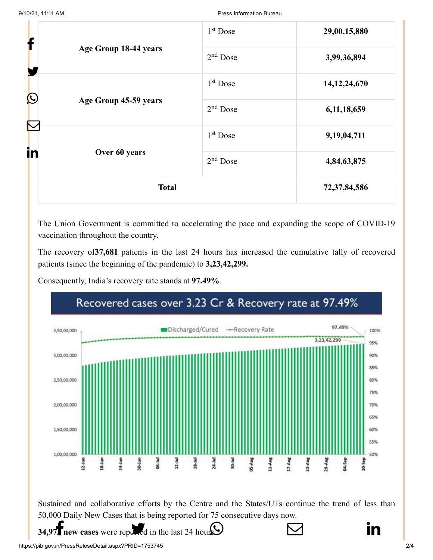| f                          |                       | 1 <sup>st</sup> Dose | 29,00,15,880    |
|----------------------------|-----------------------|----------------------|-----------------|
| Age Group 18-44 years<br>Y | $2nd$ Dose            | 3,99,36,894          |                 |
|                            | 1 <sup>st</sup> Dose  | 14, 12, 24, 670      |                 |
| $\bigcirc$                 | Age Group 45-59 years | $2nd$ Dose           | 6,11,18,659     |
|                            |                       | 1 <sup>st</sup> Dose | 9,19,04,711     |
| in                         | Over 60 years         | $2nd$ Dose           | 4,84,63,875     |
|                            | <b>Total</b>          |                      | 72, 37, 84, 586 |

The Union Government is committed to accelerating the pace and expanding the scope of COVID-19 vaccination throughout the country.

The recovery of**37,681** patients in the last 24 hours has increased the cumulative tally of recovered patients (since the beginning of the pandemic) to **3,23,42,299.**

Consequently, India's recovery rate stands at **97.49%**.

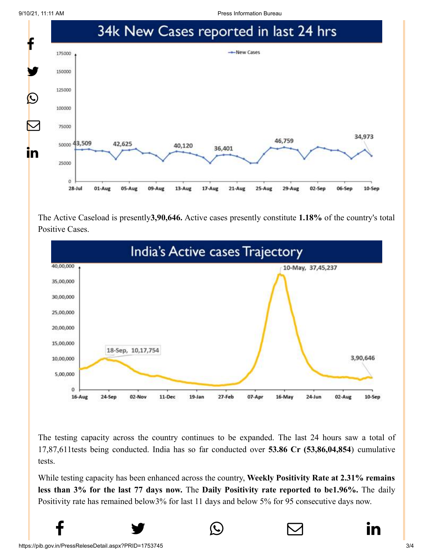9/10/21, 11:11 AM Press Information Bureau



The Active Caseload is presently**3,90,646.** Active cases presently constitute **1.18%** of the country's total Positive Cases.



The testing capacity across the country continues to be expanded. The last 24 hours saw a total of 17,87,611tests being conducted. India has so far conducted over **53.86 Cr (53,86,04,854**) cumulative tests.

While testing capacity has been enhanced across the country, **Weekly Positivity Rate at 2.31% remains less than 3% for the last 77 days now.** The **Daily Positivity rate reported to be1.96%.** The daily Positivity rate has remained below3% for last 11 days and below 5% for 95 consecutive days now.

 $f$   $\rightarrow$   $\circ$   $\quad \circ$  in